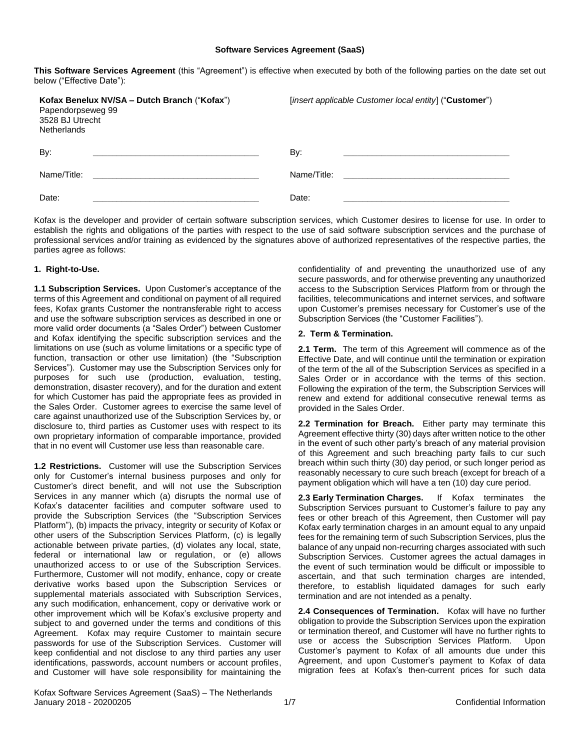#### **Software Services Agreement (SaaS)**

**This Software Services Agreement** (this "Agreement") is effective when executed by both of the following parties on the date set out below ("Effective Date"):

| Kofax Benelux NV/SA - Dutch Branch ("Kofax")<br>Papendorpseweg 99<br>3528 BJ Utrecht<br><b>Netherlands</b> | [insert applicable Customer local entity] ("Customer") |
|------------------------------------------------------------------------------------------------------------|--------------------------------------------------------|
| By:<br><u> 1990 - Johann John Stein, markin f</u>                                                          | By:                                                    |
| Name/Title:                                                                                                | Name/Title:                                            |
| Date:                                                                                                      | Date:                                                  |

Kofax is the developer and provider of certain software subscription services, which Customer desires to license for use. In order to establish the rights and obligations of the parties with respect to the use of said software subscription services and the purchase of professional services and/or training as evidenced by the signatures above of authorized representatives of the respective parties, the parties agree as follows:

## **1. Right-to-Use.**

**1.1 Subscription Services.** Upon Customer's acceptance of the terms of this Agreement and conditional on payment of all required fees, Kofax grants Customer the nontransferable right to access and use the software subscription services as described in one or more valid order documents (a "Sales Order") between Customer and Kofax identifying the specific subscription services and the limitations on use (such as volume limitations or a specific type of function, transaction or other use limitation) (the "Subscription Services"). Customer may use the Subscription Services only for purposes for such use (production, evaluation, testing, demonstration, disaster recovery), and for the duration and extent for which Customer has paid the appropriate fees as provided in the Sales Order. Customer agrees to exercise the same level of care against unauthorized use of the Subscription Services by, or disclosure to, third parties as Customer uses with respect to its own proprietary information of comparable importance, provided that in no event will Customer use less than reasonable care.

**1.2 Restrictions.** Customer will use the Subscription Services only for Customer's internal business purposes and only for Customer's direct benefit, and will not use the Subscription Services in any manner which (a) disrupts the normal use of Kofax's datacenter facilities and computer software used to provide the Subscription Services (the "Subscription Services Platform"), (b) impacts the privacy, integrity or security of Kofax or other users of the Subscription Services Platform, (c) is legally actionable between private parties, (d) violates any local, state, federal or international law or regulation, or (e) allows unauthorized access to or use of the Subscription Services. Furthermore, Customer will not modify, enhance, copy or create derivative works based upon the Subscription Services or supplemental materials associated with Subscription Services, any such modification, enhancement, copy or derivative work or other improvement which will be Kofax's exclusive property and subject to and governed under the terms and conditions of this Agreement. Kofax may require Customer to maintain secure passwords for use of the Subscription Services. Customer will keep confidential and not disclose to any third parties any user identifications, passwords, account numbers or account profiles, and Customer will have sole responsibility for maintaining the

confidentiality of and preventing the unauthorized use of any secure passwords, and for otherwise preventing any unauthorized access to the Subscription Services Platform from or through the facilities, telecommunications and internet services, and software upon Customer's premises necessary for Customer's use of the Subscription Services (the "Customer Facilities").

# **2. Term & Termination.**

**2.1 Term.** The term of this Agreement will commence as of the Effective Date, and will continue until the termination or expiration of the term of the all of the Subscription Services as specified in a Sales Order or in accordance with the terms of this section. Following the expiration of the term, the Subscription Services will renew and extend for additional consecutive renewal terms as provided in the Sales Order.

**2.2 Termination for Breach.** Either party may terminate this Agreement effective thirty (30) days after written notice to the other in the event of such other party's breach of any material provision of this Agreement and such breaching party fails to cur such breach within such thirty (30) day period, or such longer period as reasonably necessary to cure such breach (except for breach of a payment obligation which will have a ten (10) day cure period.

**2.3 Early Termination Charges.** If Kofax terminates the Subscription Services pursuant to Customer's failure to pay any fees or other breach of this Agreement, then Customer will pay Kofax early termination charges in an amount equal to any unpaid fees for the remaining term of such Subscription Services, plus the balance of any unpaid non-recurring charges associated with such Subscription Services. Customer agrees the actual damages in the event of such termination would be difficult or impossible to ascertain, and that such termination charges are intended, therefore, to establish liquidated damages for such early termination and are not intended as a penalty.

**2.4 Consequences of Termination.** Kofax will have no further obligation to provide the Subscription Services upon the expiration or termination thereof, and Customer will have no further rights to use or access the Subscription Services Platform. Upon Customer's payment to Kofax of all amounts due under this Agreement, and upon Customer's payment to Kofax of data migration fees at Kofax's then-current prices for such data

Kofax Software Services Agreement (SaaS) – The Netherlands January 2018 - 20200205 1/7 Confidential Information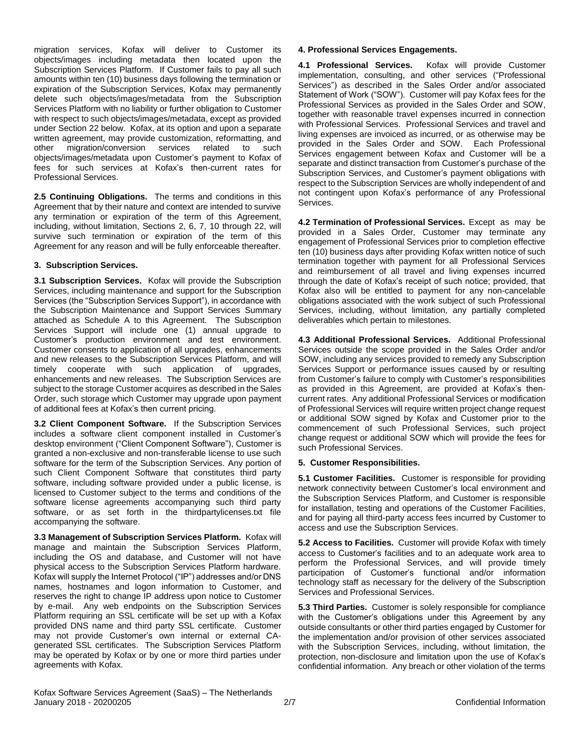migration services, Kofax will deliver to Customer its objects/images including metadata then located upon the Subscription Services Platform. If Customer fails to pay all such amounts within ten (10) business days following the termination or expiration of the Subscription Services, Kofax may permanently delete such objects/images/metadata from the Subscription Services Platform with no liability or further obligation to Customer with respect to such objects/images/metadata, except as provided under Section 22 below. Kofax, at its option and upon a separate written agreement, may provide customization, reformatting, and other migration/conversion services related to such objects/images/metadata upon Customer's payment to Kofax of fees for such services at Kofax's then-current rates for Professional Services.

**2.5 Continuing Obligations.** The terms and conditions in this Agreement that by their nature and context are intended to survive any termination or expiration of the term of this Agreement, including, without limitation, Sections 2, 6, 7, 10 through 22, will survive such termination or expiration of the term of this Agreement for any reason and will be fully enforceable thereafter.

# **3. Subscription Services.**

**3.1 Subscription Services.** Kofax will provide the Subscription Services, including maintenance and support for the Subscription Services (the "Subscription Services Support"), in accordance with the Subscription Maintenance and Support Services Summary attached as Schedule A to this Agreement. The Subscription Services Support will include one (1) annual upgrade to Customer's production environment and test environment. Customer consents to application of all upgrades, enhancements and new releases to the Subscription Services Platform, and will timely cooperate with such application of upgrades, enhancements and new releases. The Subscription Services are subject to the storage Customer acquires as described in the Sales Order, such storage which Customer may upgrade upon payment of additional fees at Kofax's then current pricing.

**3.2 Client Component Software.** If the Subscription Services includes a software client component installed in Customer's desktop environment ("Client Component Software"), Customer is granted a non-exclusive and non-transferable license to use such software for the term of the Subscription Services. Any portion of such Client Component Software that constitutes third party software, including software provided under a public license, is licensed to Customer subject to the terms and conditions of the software license agreements accompanying such third party software, or as set forth in the thirdpartylicenses.txt file accompanying the software.

**3.3 Management of Subscription Services Platform.** Kofax will manage and maintain the Subscription Services Platform, including the OS and database, and Customer will not have physical access to the Subscription Services Platform hardware. Kofax will supply the Internet Protocol ("IP") addresses and/or DNS names, hostnames and logon information to Customer, and reserves the right to change IP address upon notice to Customer by e-mail. Any web endpoints on the Subscription Services Platform requiring an SSL certificate will be set up with a Kofax provided DNS name and third party SSL certificate. Customer may not provide Customer's own internal or external CAgenerated SSL certificates. The Subscription Services Platform may be operated by Kofax or by one or more third parties under agreements with Kofax.

# **4. Professional Services Engagements.**

**4.1 Professional Services.** Kofax will provide Customer implementation, consulting, and other services ("Professional Services") as described in the Sales Order and/or associated Statement of Work ("SOW"). Customer will pay Kofax fees for the Professional Services as provided in the Sales Order and SOW, together with reasonable travel expenses incurred in connection with Professional Services. Professional Services and travel and living expenses are invoiced as incurred, or as otherwise may be provided in the Sales Order and SOW. Each Professional Services engagement between Kofax and Customer will be a separate and distinct transaction from Customer's purchase of the Subscription Services, and Customer's payment obligations with respect to the Subscription Services are wholly independent of and not contingent upon Kofax's performance of any Professional Services.

**4.2 Termination of Professional Services.** Except as may be provided in a Sales Order, Customer may terminate any engagement of Professional Services prior to completion effective ten (10) business days after providing Kofax written notice of such termination together with payment for all Professional Services and reimbursement of all travel and living expenses incurred through the date of Kofax's receipt of such notice; provided, that Kofax also will be entitled to payment for any non-cancelable obligations associated with the work subject of such Professional Services, including, without limitation, any partially completed deliverables which pertain to milestones.

**4.3 Additional Professional Services.** Additional Professional Services outside the scope provided in the Sales Order and/or SOW, including any services provided to remedy any Subscription Services Support or performance issues caused by or resulting from Customer's failure to comply with Customer's responsibilities as provided in this Agreement, are provided at Kofax's thencurrent rates. Any additional Professional Services or modification of Professional Services will require written project change request or additional SOW signed by Kofax and Customer prior to the commencement of such Professional Services, such project change request or additional SOW which will provide the fees for such Professional Services.

## **5. Customer Responsibilities.**

**5.1 Customer Facilities.** Customer is responsible for providing network connectivity between Customer's local environment and the Subscription Services Platform, and Customer is responsible for installation, testing and operations of the Customer Facilities, and for paying all third-party access fees incurred by Customer to access and use the Subscription Services.

**5.2 Access to Facilities.** Customer will provide Kofax with timely access to Customer's facilities and to an adequate work area to perform the Professional Services, and will provide timely participation of Customer's functional and/or information technology staff as necessary for the delivery of the Subscription Services and Professional Services.

**5.3 Third Parties.** Customer is solely responsible for compliance with the Customer's obligations under this Agreement by any outside consultants or other third parties engaged by Customer for the implementation and/or provision of other services associated with the Subscription Services, including, without limitation, the protection, non-disclosure and limitation upon the use of Kofax's confidential information. Any breach or other violation of the terms

Kofax Software Services Agreement (SaaS) – The Netherlands January 2018 - 20200205 2/7 Confidential Information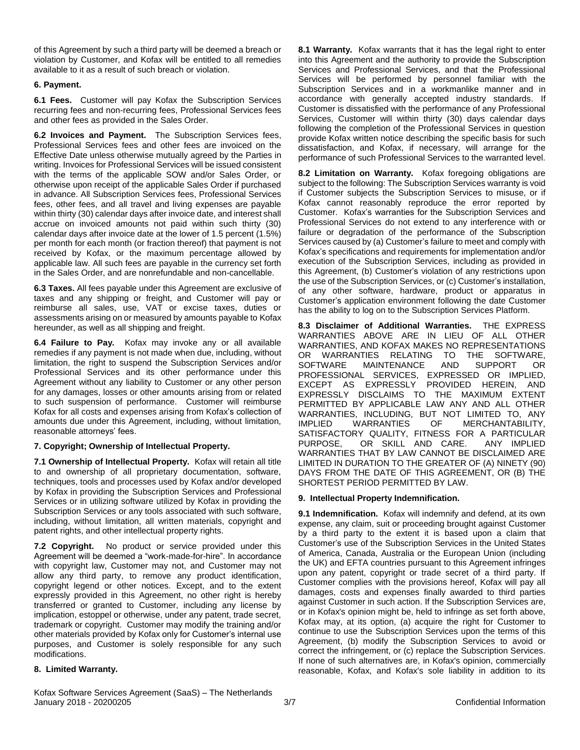of this Agreement by such a third party will be deemed a breach or violation by Customer, and Kofax will be entitled to all remedies available to it as a result of such breach or violation.

# **6. Payment.**

**6.1 Fees.** Customer will pay Kofax the Subscription Services recurring fees and non-recurring fees, Professional Services fees and other fees as provided in the Sales Order.

**6.2 Invoices and Payment.** The Subscription Services fees, Professional Services fees and other fees are invoiced on the Effective Date unless otherwise mutually agreed by the Parties in writing. Invoices for Professional Services will be issued consistent with the terms of the applicable SOW and/or Sales Order, or otherwise upon receipt of the applicable Sales Order if purchased in advance. All Subscription Services fees, Professional Services fees, other fees, and all travel and living expenses are payable within thirty (30) calendar days after invoice date, and interest shall accrue on invoiced amounts not paid within such thirty (30) calendar days after invoice date at the lower of 1.5 percent (1.5%) per month for each month (or fraction thereof) that payment is not received by Kofax, or the maximum percentage allowed by applicable law. All such fees are payable in the currency set forth in the Sales Order, and are nonrefundable and non-cancellable.

**6.3 Taxes.** All fees payable under this Agreement are exclusive of taxes and any shipping or freight, and Customer will pay or reimburse all sales, use, VAT or excise taxes, duties or assessments arising on or measured by amounts payable to Kofax hereunder, as well as all shipping and freight.

**6.4 Failure to Pay.** Kofax may invoke any or all available remedies if any payment is not made when due, including, without limitation, the right to suspend the Subscription Services and/or Professional Services and its other performance under this Agreement without any liability to Customer or any other person for any damages, losses or other amounts arising from or related to such suspension of performance. Customer will reimburse Kofax for all costs and expenses arising from Kofax's collection of amounts due under this Agreement, including, without limitation, reasonable attorneys' fees.

## **7. Copyright; Ownership of Intellectual Property.**

**7.1 Ownership of Intellectual Property.** Kofax will retain all title to and ownership of all proprietary documentation, software, techniques, tools and processes used by Kofax and/or developed by Kofax in providing the Subscription Services and Professional Services or in utilizing software utilized by Kofax in providing the Subscription Services or any tools associated with such software, including, without limitation, all written materials, copyright and patent rights, and other intellectual property rights.

**7.2 Copyright.** No product or service provided under this Agreement will be deemed a "work-made-for-hire". In accordance with copyright law, Customer may not, and Customer may not allow any third party, to remove any product identification, copyright legend or other notices. Except, and to the extent expressly provided in this Agreement, no other right is hereby transferred or granted to Customer, including any license by implication, estoppel or otherwise, under any patent, trade secret, trademark or copyright. Customer may modify the training and/or other materials provided by Kofax only for Customer's internal use purposes, and Customer is solely responsible for any such modifications.

## **8. Limited Warranty.**

**8.1 Warranty.** Kofax warrants that it has the legal right to enter into this Agreement and the authority to provide the Subscription Services and Professional Services, and that the Professional Services will be performed by personnel familiar with the Subscription Services and in a workmanlike manner and in accordance with generally accepted industry standards. If Customer is dissatisfied with the performance of any Professional Services, Customer will within thirty (30) days calendar days following the completion of the Professional Services in question provide Kofax written notice describing the specific basis for such dissatisfaction, and Kofax, if necessary, will arrange for the performance of such Professional Services to the warranted level.

**8.2 Limitation on Warranty.** Kofax foregoing obligations are subject to the following: The Subscription Services warranty is void if Customer subjects the Subscription Services to misuse, or if Kofax cannot reasonably reproduce the error reported by Customer. Kofax's warranties for the Subscription Services and Professional Services do not extend to any interference with or failure or degradation of the performance of the Subscription Services caused by (a) Customer's failure to meet and comply with Kofax's specifications and requirements for implementation and/or execution of the Subscription Services, including as provided in this Agreement, (b) Customer's violation of any restrictions upon the use of the Subscription Services, or (c) Customer's installation, of any other software, hardware, product or apparatus in Customer's application environment following the date Customer has the ability to log on to the Subscription Services Platform.

**8.3 Disclaimer of Additional Warranties.** THE EXPRESS WARRANTIES ABOVE ARE IN LIEU OF ALL OTHER WARRANTIES, AND KOFAX MAKES NO REPRESENTATIONS OR WARRANTIES RELATING TO THE SOFTWARE,<br>SOFTWARE MAINTENANCE AND SUPPORT OR SOFTWARE MAINTENANCE AND SUPPORT OR PROFESSIONAL SERVICES, EXPRESSED OR IMPLIED, EXCEPT AS EXPRESSLY PROVIDED HEREIN, AND EXPRESSLY DISCLAIMS TO THE MAXIMUM EXTENT PERMITTED BY APPLICABLE LAW ANY AND ALL OTHER WARRANTIES, INCLUDING, BUT NOT LIMITED TO, ANY<br>IMPLIED WARRANTIES OF MERCHANTABILITY. IMPLIED WARRANTIES OF MERCHANTABILITY, SATISFACTORY QUALITY, FITNESS FOR A PARTICULAR<br>PURPOSE, OR SKILL AND CARE. ANY IMPLIED PURPOSE, OR SKILL AND CARE. WARRANTIES THAT BY LAW CANNOT BE DISCLAIMED ARE LIMITED IN DURATION TO THE GREATER OF (A) NINETY (90) DAYS FROM THE DATE OF THIS AGREEMENT, OR (B) THE SHORTEST PERIOD PERMITTED BY LAW.

# **9. Intellectual Property Indemnification.**

**9.1 Indemnification.** Kofax will indemnify and defend, at its own expense, any claim, suit or proceeding brought against Customer by a third party to the extent it is based upon a claim that Customer's use of the Subscription Services in the United States of America, Canada, Australia or the European Union (including the UK) and EFTA countries pursuant to this Agreement infringes upon any patent, copyright or trade secret of a third party. If Customer complies with the provisions hereof, Kofax will pay all damages, costs and expenses finally awarded to third parties against Customer in such action. If the Subscription Services are, or in Kofax's opinion might be, held to infringe as set forth above, Kofax may, at its option, (a) acquire the right for Customer to continue to use the Subscription Services upon the terms of this Agreement, (b) modify the Subscription Services to avoid or correct the infringement, or (c) replace the Subscription Services. If none of such alternatives are, in Kofax's opinion, commercially reasonable, Kofax, and Kofax's sole liability in addition to its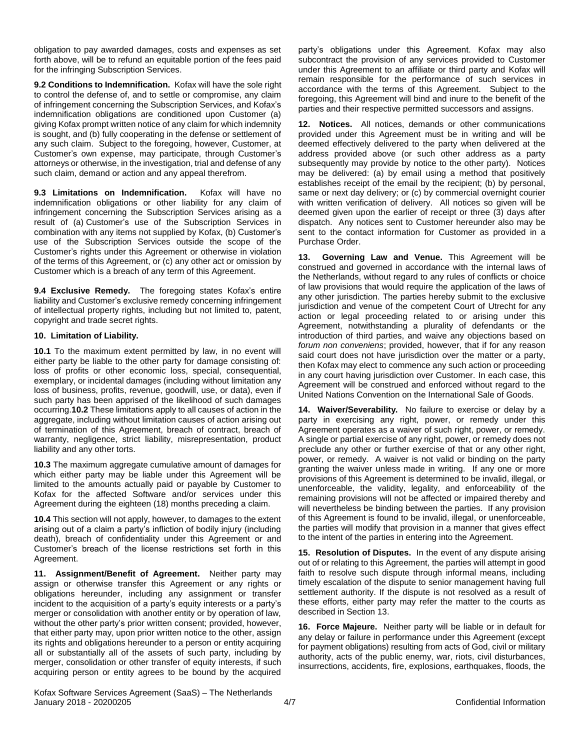obligation to pay awarded damages, costs and expenses as set forth above, will be to refund an equitable portion of the fees paid for the infringing Subscription Services.

**9.2 Conditions to Indemnification.** Kofax will have the sole right to control the defense of, and to settle or compromise, any claim of infringement concerning the Subscription Services, and Kofax's indemnification obligations are conditioned upon Customer (a) giving Kofax prompt written notice of any claim for which indemnity is sought, and (b) fully cooperating in the defense or settlement of any such claim. Subject to the foregoing, however, Customer, at Customer's own expense, may participate, through Customer's attorneys or otherwise, in the investigation, trial and defense of any such claim, demand or action and any appeal therefrom.

**9.3 Limitations on Indemnification.** Kofax will have no indemnification obligations or other liability for any claim of infringement concerning the Subscription Services arising as a result of (a) Customer's use of the Subscription Services in combination with any items not supplied by Kofax, (b) Customer's use of the Subscription Services outside the scope of the Customer's rights under this Agreement or otherwise in violation of the terms of this Agreement, or (c) any other act or omission by Customer which is a breach of any term of this Agreement.

**9.4 Exclusive Remedy.** The foregoing states Kofax's entire liability and Customer's exclusive remedy concerning infringement of intellectual property rights, including but not limited to, patent, copyright and trade secret rights.

#### **10. Limitation of Liability.**

**10.1** To the maximum extent permitted by law, in no event will either party be liable to the other party for damage consisting of: loss of profits or other economic loss, special, consequential, exemplary, or incidental damages (including without limitation any loss of business, profits, revenue, goodwill, use, or data), even if such party has been apprised of the likelihood of such damages occurring.**10.2** These limitations apply to all causes of action in the aggregate, including without limitation causes of action arising out of termination of this Agreement, breach of contract, breach of warranty, negligence, strict liability, misrepresentation, product liability and any other torts.

**10.3** The maximum aggregate cumulative amount of damages for which either party may be liable under this Agreement will be limited to the amounts actually paid or payable by Customer to Kofax for the affected Software and/or services under this Agreement during the eighteen (18) months preceding a claim.

**10.4** This section will not apply, however, to damages to the extent arising out of a claim a party's infliction of bodily injury (including death), breach of confidentiality under this Agreement or and Customer's breach of the license restrictions set forth in this Agreement.

**11. Assignment/Benefit of Agreement.** Neither party may assign or otherwise transfer this Agreement or any rights or obligations hereunder, including any assignment or transfer incident to the acquisition of a party's equity interests or a party's merger or consolidation with another entity or by operation of law, without the other party's prior written consent; provided, however, that either party may, upon prior written notice to the other, assign its rights and obligations hereunder to a person or entity acquiring all or substantially all of the assets of such party, including by merger, consolidation or other transfer of equity interests, if such acquiring person or entity agrees to be bound by the acquired

party's obligations under this Agreement. Kofax may also subcontract the provision of any services provided to Customer under this Agreement to an affiliate or third party and Kofax will remain responsible for the performance of such services in accordance with the terms of this Agreement. Subject to the foregoing, this Agreement will bind and inure to the benefit of the parties and their respective permitted successors and assigns.

**12. Notices.** All notices, demands or other communications provided under this Agreement must be in writing and will be deemed effectively delivered to the party when delivered at the address provided above (or such other address as a party subsequently may provide by notice to the other party). Notices may be delivered: (a) by email using a method that positively establishes receipt of the email by the recipient; (b) by personal, same or next day delivery; or (c) by commercial overnight courier with written verification of delivery. All notices so given will be deemed given upon the earlier of receipt or three (3) days after dispatch. Any notices sent to Customer hereunder also may be sent to the contact information for Customer as provided in a Purchase Order.

**13. Governing Law and Venue.** This Agreement will be construed and governed in accordance with the internal laws of the Netherlands, without regard to any rules of conflicts or choice of law provisions that would require the application of the laws of any other jurisdiction. The parties hereby submit to the exclusive jurisdiction and venue of the competent Court of Utrecht for any action or legal proceeding related to or arising under this Agreement, notwithstanding a plurality of defendants or the introduction of third parties, and waive any objections based on *forum non conveniens*; provided, however, that if for any reason said court does not have jurisdiction over the matter or a party, then Kofax may elect to commence any such action or proceeding in any court having jurisdiction over Customer. In each case, this Agreement will be construed and enforced without regard to the United Nations Convention on the International Sale of Goods.

**14. Waiver/Severability.** No failure to exercise or delay by a party in exercising any right, power, or remedy under this Agreement operates as a waiver of such right, power, or remedy. A single or partial exercise of any right, power, or remedy does not preclude any other or further exercise of that or any other right, power, or remedy. A waiver is not valid or binding on the party granting the waiver unless made in writing. If any one or more provisions of this Agreement is determined to be invalid, illegal, or unenforceable, the validity, legality, and enforceability of the remaining provisions will not be affected or impaired thereby and will nevertheless be binding between the parties. If any provision of this Agreement is found to be invalid, illegal, or unenforceable, the parties will modify that provision in a manner that gives effect to the intent of the parties in entering into the Agreement.

**15. Resolution of Disputes.** In the event of any dispute arising out of or relating to this Agreement, the parties will attempt in good faith to resolve such dispute through informal means, including timely escalation of the dispute to senior management having full settlement authority. If the dispute is not resolved as a result of these efforts, either party may refer the matter to the courts as described in Section 13.

**16. Force Majeure.** Neither party will be liable or in default for any delay or failure in performance under this Agreement (except for payment obligations) resulting from acts of God, civil or military authority, acts of the public enemy, war, riots, civil disturbances, insurrections, accidents, fire, explosions, earthquakes, floods, the

Kofax Software Services Agreement (SaaS) – The Netherlands January 2018 - 20200205 4/7 Confidential Information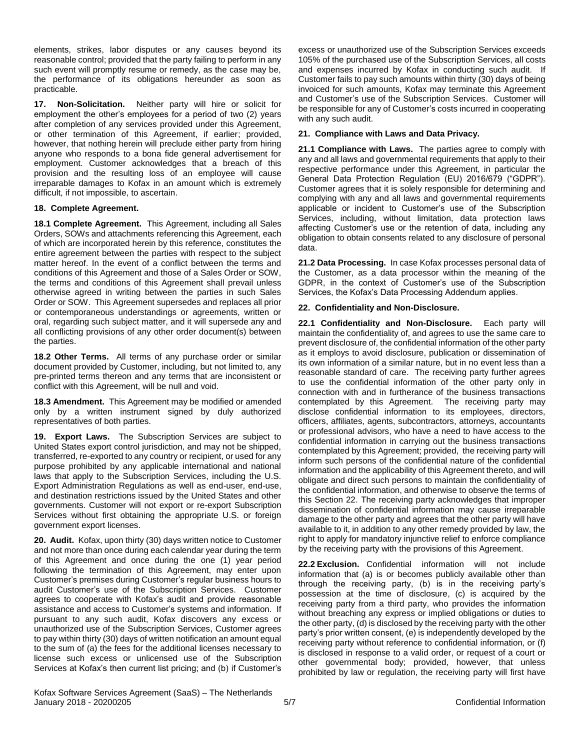elements, strikes, labor disputes or any causes beyond its reasonable control; provided that the party failing to perform in any such event will promptly resume or remedy, as the case may be, the performance of its obligations hereunder as soon as practicable.

**17. Non-Solicitation.** Neither party will hire or solicit for employment the other's employees for a period of two (2) years after completion of any services provided under this Agreement, or other termination of this Agreement, if earlier; provided, however, that nothing herein will preclude either party from hiring anyone who responds to a bona fide general advertisement for employment. Customer acknowledges that a breach of this provision and the resulting loss of an employee will cause irreparable damages to Kofax in an amount which is extremely difficult, if not impossible, to ascertain.

## **18. Complete Agreement.**

**18.1 Complete Agreement.** This Agreement, including all Sales Orders, SOWs and attachments referencing this Agreement, each of which are incorporated herein by this reference, constitutes the entire agreement between the parties with respect to the subject matter hereof. In the event of a conflict between the terms and conditions of this Agreement and those of a Sales Order or SOW, the terms and conditions of this Agreement shall prevail unless otherwise agreed in writing between the parties in such Sales Order or SOW. This Agreement supersedes and replaces all prior or contemporaneous understandings or agreements, written or oral, regarding such subject matter, and it will supersede any and all conflicting provisions of any other order document(s) between the parties.

**18.2 Other Terms.** All terms of any purchase order or similar document provided by Customer, including, but not limited to, any pre-printed terms thereon and any terms that are inconsistent or conflict with this Agreement, will be null and void.

**18.3 Amendment.** This Agreement may be modified or amended only by a written instrument signed by duly authorized representatives of both parties.

**19. Export Laws.** The Subscription Services are subject to United States export control jurisdiction, and may not be shipped, transferred, re-exported to any country or recipient, or used for any purpose prohibited by any applicable international and national laws that apply to the Subscription Services, including the U.S. Export Administration Regulations as well as end-user, end-use, and destination restrictions issued by the United States and other governments. Customer will not export or re-export Subscription Services without first obtaining the appropriate U.S. or foreign government export licenses.

**20. Audit.** Kofax, upon thirty (30) days written notice to Customer and not more than once during each calendar year during the term of this Agreement and once during the one (1) year period following the termination of this Agreement, may enter upon Customer's premises during Customer's regular business hours to audit Customer's use of the Subscription Services. Customer agrees to cooperate with Kofax's audit and provide reasonable assistance and access to Customer's systems and information. If pursuant to any such audit, Kofax discovers any excess or unauthorized use of the Subscription Services, Customer agrees to pay within thirty (30) days of written notification an amount equal to the sum of (a) the fees for the additional licenses necessary to license such excess or unlicensed use of the Subscription Services at Kofax's then current list pricing; and (b) if Customer's excess or unauthorized use of the Subscription Services exceeds 105% of the purchased use of the Subscription Services, all costs and expenses incurred by Kofax in conducting such audit. If Customer fails to pay such amounts within thirty (30) days of being invoiced for such amounts, Kofax may terminate this Agreement and Customer's use of the Subscription Services. Customer will be responsible for any of Customer's costs incurred in cooperating with any such audit.

# **21. Compliance with Laws and Data Privacy.**

**21.1 Compliance with Laws.** The parties agree to comply with any and all laws and governmental requirements that apply to their respective performance under this Agreement, in particular the General Data Protection Regulation (EU) 2016/679 ("GDPR"). Customer agrees that it is solely responsible for determining and complying with any and all laws and governmental requirements applicable or incident to Customer's use of the Subscription Services, including, without limitation, data protection laws affecting Customer's use or the retention of data, including any obligation to obtain consents related to any disclosure of personal data.

**21.2 Data Processing.** In case Kofax processes personal data of the Customer, as a data processor within the meaning of the GDPR, in the context of Customer's use of the Subscription Services, the Kofax's Data Processing Addendum applies.

# **22. Confidentiality and Non-Disclosure.**

**22.1 Confidentiality and Non-Disclosure.** Each party will maintain the confidentiality of, and agrees to use the same care to prevent disclosure of, the confidential information of the other party as it employs to avoid disclosure, publication or dissemination of its own information of a similar nature, but in no event less than a reasonable standard of care. The receiving party further agrees to use the confidential information of the other party only in connection with and in furtherance of the business transactions contemplated by this Agreement. The receiving party may disclose confidential information to its employees, directors, officers, affiliates, agents, subcontractors, attorneys, accountants or professional advisors, who have a need to have access to the confidential information in carrying out the business transactions contemplated by this Agreement; provided, the receiving party will inform such persons of the confidential nature of the confidential information and the applicability of this Agreement thereto, and will obligate and direct such persons to maintain the confidentiality of the confidential information, and otherwise to observe the terms of this Section 22. The receiving party acknowledges that improper dissemination of confidential information may cause irreparable damage to the other party and agrees that the other party will have available to it, in addition to any other remedy provided by law, the right to apply for mandatory injunctive relief to enforce compliance by the receiving party with the provisions of this Agreement.

**22.2 Exclusion.** Confidential information will not include information that (a) is or becomes publicly available other than through the receiving party, (b) is in the receiving party's possession at the time of disclosure, (c) is acquired by the receiving party from a third party, who provides the information without breaching any express or implied obligations or duties to the other party, (d) is disclosed by the receiving party with the other party's prior written consent, (e) is independently developed by the receiving party without reference to confidential information, or (f) is disclosed in response to a valid order, or request of a court or other governmental body; provided, however, that unless prohibited by law or regulation, the receiving party will first have

Kofax Software Services Agreement (SaaS) – The Netherlands January 2018 - 20200205 5/7 Confidential Information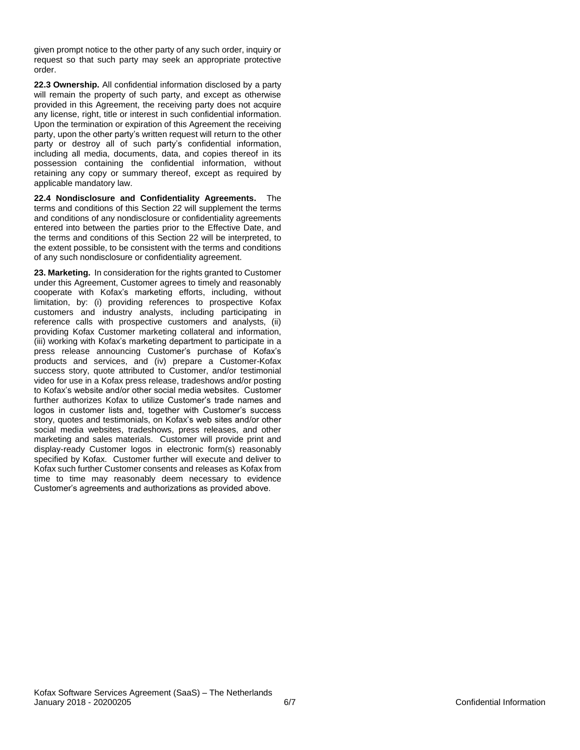given prompt notice to the other party of any such order, inquiry or request so that such party may seek an appropriate protective order.

**22.3 Ownership.** All confidential information disclosed by a party will remain the property of such party, and except as otherwise provided in this Agreement, the receiving party does not acquire any license, right, title or interest in such confidential information. Upon the termination or expiration of this Agreement the receiving party, upon the other party's written request will return to the other party or destroy all of such party's confidential information, including all media, documents, data, and copies thereof in its possession containing the confidential information, without retaining any copy or summary thereof, except as required by applicable mandatory law.

**22.4 Nondisclosure and Confidentiality Agreements.** The terms and conditions of this Section 22 will supplement the terms and conditions of any nondisclosure or confidentiality agreements entered into between the parties prior to the Effective Date, and the terms and conditions of this Section 22 will be interpreted, to the extent possible, to be consistent with the terms and conditions of any such nondisclosure or confidentiality agreement.

**23. Marketing.** In consideration for the rights granted to Customer under this Agreement, Customer agrees to timely and reasonably cooperate with Kofax's marketing efforts, including, without limitation, by: (i) providing references to prospective Kofax customers and industry analysts, including participating in reference calls with prospective customers and analysts, (ii) providing Kofax Customer marketing collateral and information, (iii) working with Kofax's marketing department to participate in a press release announcing Customer's purchase of Kofax's products and services, and (iv) prepare a Customer-Kofax success story, quote attributed to Customer, and/or testimonial video for use in a Kofax press release, tradeshows and/or posting to Kofax's website and/or other social media websites. Customer further authorizes Kofax to utilize Customer's trade names and logos in customer lists and, together with Customer's success story, quotes and testimonials, on Kofax's web sites and/or other social media websites, tradeshows, press releases, and other marketing and sales materials. Customer will provide print and display-ready Customer logos in electronic form(s) reasonably specified by Kofax. Customer further will execute and deliver to Kofax such further Customer consents and releases as Kofax from time to time may reasonably deem necessary to evidence Customer's agreements and authorizations as provided above.